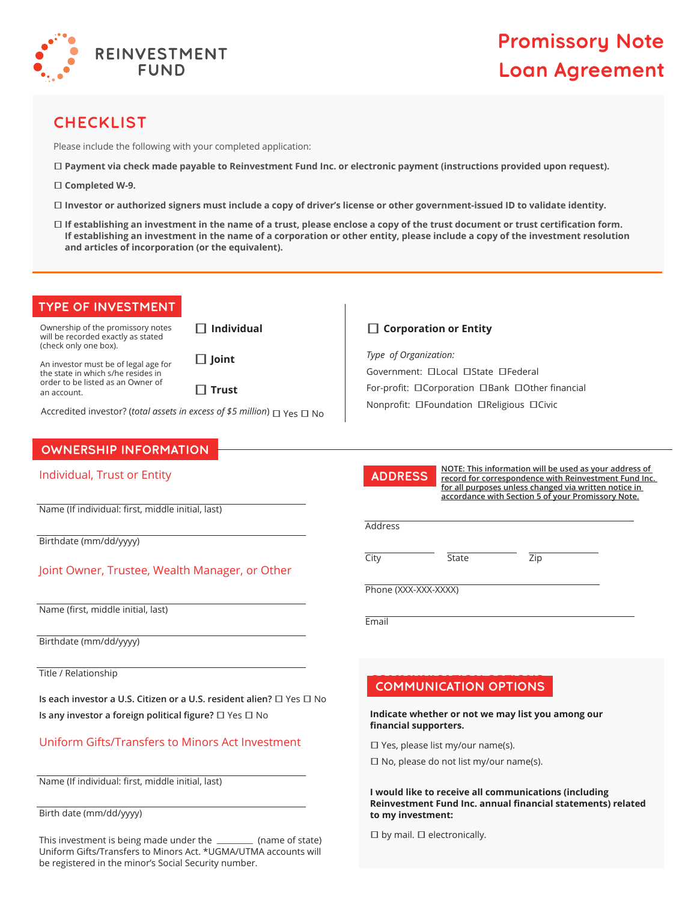

# **Promissory Note Loan Agreement**

## **CHECKLIST**

Please include the following with your completed application:

- • **Payment via check made payable to Reinvestment Fund Inc. or electronic payment (instructions provided upon request).**
- • **Completed W-9.**
- **Investor or authorized signers must include a copy of driver's license or other government-issued ID to validate identity.**
- **If establishing an investment in the name of a trust, please enclose a copy of the trust document or trust certification form. If establishing an investment in the name of a corporation or other entity, please include a copy of the investment resolution and articles of incorporation (or the equivalent).**

### **TYPE OF INVESTMENT TYPE OF INVESTMENT**

Ownership of the promissory notes will be recorded exactly as stated (check only one box).

 $\Box$  Individual

An investor must be of legal age for the state in which s/he resides in order to be listed as an Owner of an account.

• **Trust** 

•**Joint** 

Accredited investor? (*total assets in excess of \$5 million*)  $\Box$  Yes  $\Box$  No

## **OWNERSHIP INFORMATION OWNERSHIP INFORMATION**

#### Individual, Trust or Entity

Name (If individual: first, middle initial, last)

Birthdate (mm/dd/yyyy)

### Joint Owner, Trustee, Wealth Manager, or Other

Name (first, middle initial, last)

Birthdate (mm/dd/yyyy)

Title / Relationship

**Is each investor a U.S. Citizen or a U.S. resident alien?**  $\Box$  Yes  $\Box$  No **Is any investor a foreign political figure?**  $\Box$  Yes  $\Box$  No

### Uniform Gifts/Transfers to Minors Act Investment

Name (If individual: first, middle initial, last)

Birth date (mm/dd/yyyy)

This investment is being made under the *wickerroof* (name of state) Uniform Gifts/Transfers to Minors Act. \*UGMA/UTMA accounts will be registered in the minor's Social Security number.

#### □ Corporation or Entity

*Type of Organization:* Government: **ILocal IState IFederal** For-profit: CCorporation CBank COther financial Nonprofit: **OFoundation OReligious OCivic** 



**NOTE: This information will be used as your address of record for correspondence with Reinvestment Fund Inc. for all purposes unless changed via written notice in accordance with Section 5 of your Promissory Note.**

**Address** 

City **State Zip** 

Phone (XXX-XXX-XXXX)

Email

## **COMMUNICATION OPTIONS COMMUNICATION OPTIONS**

**Indicate whether or not we may list you among our financial supporters.**

 $\Box$  Yes, please list my/our name(s).

 $\square$  No, please do not list my/our name(s).

**I would like to receive all communications (including Reinvestment Fund Inc. annual financial statements) related to my investment:** 

 $\square$  by mail.  $\square$  electronically.